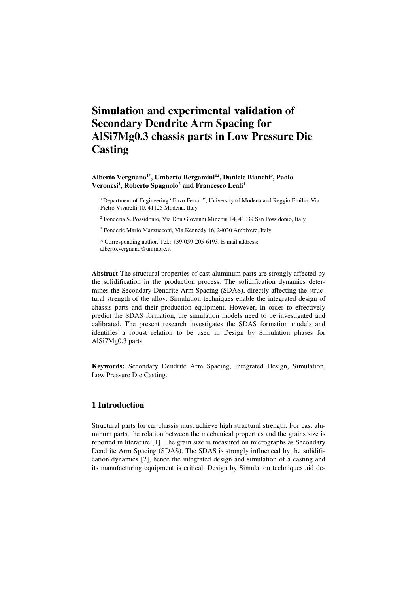# **Simulation and experimental validation of Secondary Dendrite Arm Spacing for AlSi7Mg0.3 chassis parts in Low Pressure Die Casting**

#### **Alberto Vergnano1\*, Umberto Bergamini<sup>12</sup>, Daniele Bianchi<sup>3</sup> , Paolo Veronesi<sup>1</sup> , Roberto Spagnolo<sup>2</sup> and Francesco Leali<sup>1</sup>**

<sup>1</sup> Department of Engineering "Enzo Ferrari", University of Modena and Reggio Emilia, Via Pietro Vivarelli 10, 41125 Modena, Italy

2 Fonderia S. Possidonio, Via Don Giovanni Minzoni 14, 41039 San Possidonio, Italy

3 Fonderie Mario Mazzucconi, Via Kennedy 16, 24030 Ambivere, Italy

\* Corresponding author. Tel.: +39-059-205-6193. E-mail address: alberto.vergnano@unimore.it

**Abstract** The structural properties of cast aluminum parts are strongly affected by the solidification in the production process. The solidification dynamics determines the Secondary Dendrite Arm Spacing (SDAS), directly affecting the structural strength of the alloy. Simulation techniques enable the integrated design of chassis parts and their production equipment. However, in order to effectively predict the SDAS formation, the simulation models need to be investigated and calibrated. The present research investigates the SDAS formation models and identifies a robust relation to be used in Design by Simulation phases for AlSi7Mg0.3 parts.

**Keywords:** Secondary Dendrite Arm Spacing, Integrated Design, Simulation, Low Pressure Die Casting.

## **1 Introduction**

Structural parts for car chassis must achieve high structural strength. For cast aluminum parts, the relation between the mechanical properties and the grains size is reported in literature [1]. The grain size is measured on micrographs as Secondary Dendrite Arm Spacing (SDAS). The SDAS is strongly influenced by the solidification dynamics [2], hence the integrated design and simulation of a casting and its manufacturing equipment is critical. Design by Simulation techniques aid de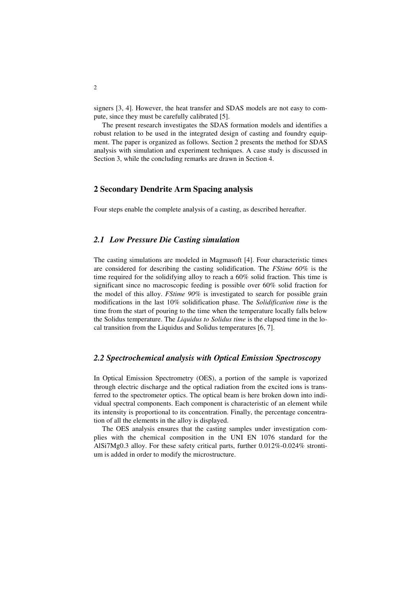signers [3, 4]. However, the heat transfer and SDAS models are not easy to compute, since they must be carefully calibrated [5].

The present research investigates the SDAS formation models and identifies a robust relation to be used in the integrated design of casting and foundry equipment. The paper is organized as follows. Section 2 presents the method for SDAS analysis with simulation and experiment techniques. A case study is discussed in Section 3, while the concluding remarks are drawn in Section 4.

## **2 Secondary Dendrite Arm Spacing analysis**

Four steps enable the complete analysis of a casting, as described hereafter.

## *2.1 Low Pressure Die Casting simulation*

The casting simulations are modeled in Magmasoft [4]. Four characteristic times are considered for describing the casting solidification. The *FStime 60%* is the time required for the solidifying alloy to reach a 60% solid fraction. This time is significant since no macroscopic feeding is possible over 60% solid fraction for the model of this alloy. *FStime 90%* is investigated to search for possible grain modifications in the last 10% solidification phase. The *Solidification time* is the time from the start of pouring to the time when the temperature locally falls below the Solidus temperature. The *Liquidus to Solidus time* is the elapsed time in the local transition from the Liquidus and Solidus temperatures [6, 7].

## *2.2 Spectrochemical analysis with Optical Emission Spectroscopy*

In Optical Emission Spectrometry (OES), a portion of the sample is vaporized through electric discharge and the optical radiation from the excited ions is transferred to the spectrometer optics. The optical beam is here broken down into individual spectral components. Each component is characteristic of an element while its intensity is proportional to its concentration. Finally, the percentage concentration of all the elements in the alloy is displayed.

The OES analysis ensures that the casting samples under investigation complies with the chemical composition in the UNI EN 1076 standard for the AlSi7Mg0.3 alloy. For these safety critical parts, further 0.012%-0.024% strontium is added in order to modify the microstructure.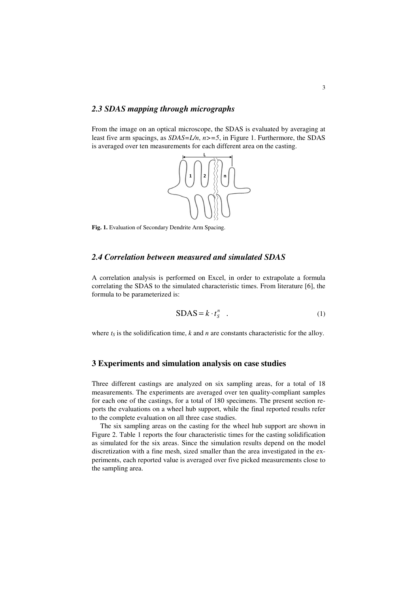#### *2.3 SDAS mapping through micrographs*

From the image on an optical microscope, the SDAS is evaluated by averaging at least five arm spacings, as *SDAS=L/n*, *n>=5*, in Figure 1. Furthermore, the SDAS is averaged over ten measurements for each different area on the casting.



**Fig. 1.** Evaluation of Secondary Dendrite Arm Spacing.

### *2.4 Correlation between measured and simulated SDAS*

A correlation analysis is performed on Excel, in order to extrapolate a formula correlating the SDAS to the simulated characteristic times. From literature [6], the formula to be parameterized is:

$$
SDAS = k \cdot t_S^n \quad . \tag{1}
$$

where  $t<sub>S</sub>$  is the solidification time,  $k$  and  $n$  are constants characteristic for the alloy.

#### **3 Experiments and simulation analysis on case studies**

Three different castings are analyzed on six sampling areas, for a total of 18 measurements. The experiments are averaged over ten quality-compliant samples for each one of the castings, for a total of 180 specimens. The present section reports the evaluations on a wheel hub support, while the final reported results refer to the complete evaluation on all three case studies.

The six sampling areas on the casting for the wheel hub support are shown in Figure 2. Table 1 reports the four characteristic times for the casting solidification as simulated for the six areas. Since the simulation results depend on the model discretization with a fine mesh, sized smaller than the area investigated in the experiments, each reported value is averaged over five picked measurements close to the sampling area.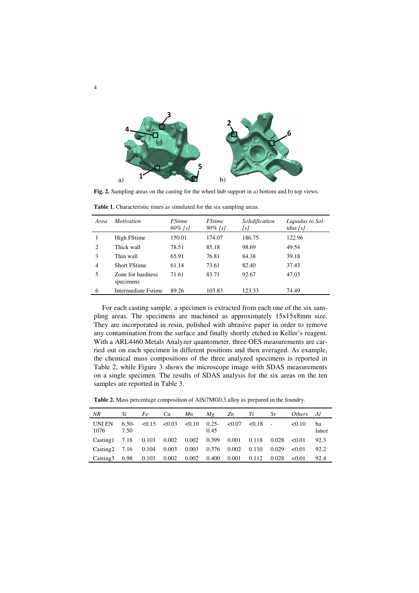

**Fig. 2.** Sampling areas on the casting for the wheel hub support in a) bottom and b) top views.

| Area           | <i>Motivation</i>              | <i><b>FStime</b></i><br>$60\%$ [s] | <i><b>FStime</b></i><br>$90\%$ [s] | Solidification<br>[s] | Liquidus to Sol-<br>idus[s] |
|----------------|--------------------------------|------------------------------------|------------------------------------|-----------------------|-----------------------------|
|                | High FStime                    | 150.01                             | 174.07                             | 186.75                | 122.96                      |
| $\overline{c}$ | Thick wall                     | 78.51                              | 85.18                              | 98.69                 | 49.54                       |
| 3              | Thin wall                      | 65.91                              | 76.81                              | 84.38                 | 39.18                       |
| $\overline{4}$ | <b>Short FStime</b>            | 61.14                              | 73.61                              | 82.40                 | 37.43                       |
| 5              | Zone for hardness<br>specimens | 71.61                              | 83.71                              | 92.67                 | 47.03                       |
| 6              | Intermediate Fstime            | 89.26                              | 103.83                             | 123.33                | 74.49                       |

**Table 1.** Characteristic times as simulated for the six sampling areas.

For each casting sample, a specimen is extracted from each one of the six sampling areas. The specimens are machined as approximately 15x15x8mm size. They are incorporated in resin, polished with abrasive paper in order to remove any contamination from the surface and finally shortly etched in Keller's reagent. With a ARL4460 Metals Analyzer quantometer, three OES measurements are carried out on each specimen in different positions and then averaged. As example, the chemical mass compositions of the three analyzed specimens is reported in Table 2, while Figure 3 shows the microscope image with SDAS measurements on a single specimen. The results of SDAS analysis for the six areas on the ten samples are reported in Table 3.

**Table 2.** Mass percentage composition of AlSi7MG0.3 alloy as prepared in the foundry.

| NR                                     | Si              | Fe                                                                                                                                  | Cu            | Mn | Mg    | Zn Ti |       | Sr    | <i>Others</i> | Al          |
|----------------------------------------|-----------------|-------------------------------------------------------------------------------------------------------------------------------------|---------------|----|-------|-------|-------|-------|---------------|-------------|
| UNI EN<br>1076                         | $6.50-$<br>7.50 | $\langle 0.15 \rangle$ $\langle 0.03 \rangle$ $\langle 0.10 \rangle$ $\langle 0.25 - \langle 0.07 \rangle$ $\langle 0.18 \rangle$ - |               |    | 0.45  |       |       |       | < 0.10        | ba<br>lance |
| Casting 1 7.18 0.103 0.002 0.002 0.399 |                 |                                                                                                                                     |               |    |       | 0.001 | 0.118 | 0.028 | < 0.01        | 92.3        |
| $\text{Casting2}$ 7.16 0.104           |                 |                                                                                                                                     | $0.003$ 0.003 |    | 0.376 | 0.002 | 0.110 | 0.029 | < 0.01        | 92.2        |
| Casting3                               |                 | 6.98 0.103                                                                                                                          | $0.002$ 0.002 |    | 0.400 | 0.001 | 0.112 | 0.028 | < 0.01        | 92.4        |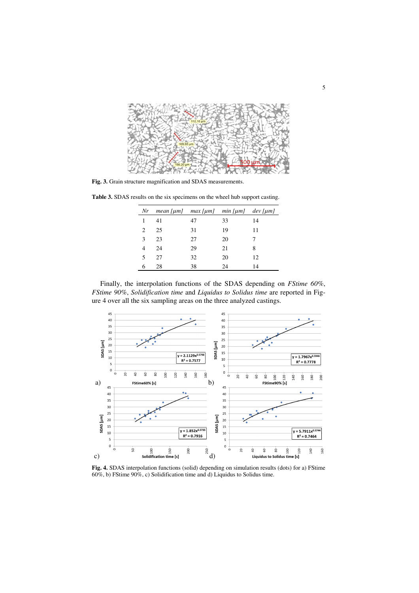

**Fig. 3.** Grain structure magnification and SDAS measurements.

| <b>Table 3.</b> SDAS results on the six specimens on the wheel hub support casting. |                                         |  |  |
|-------------------------------------------------------------------------------------|-----------------------------------------|--|--|
|                                                                                     | Nr mean fuml max fuml min fuml dev fuml |  |  |

| Nr                          |    | $mean [µm]$ $max [µm]$ $min [µm]$ $dev [µm]$ |    |    |
|-----------------------------|----|----------------------------------------------|----|----|
|                             | 41 | 47                                           | 33 | 14 |
| $\mathcal{D}_{\mathcal{L}}$ | 25 | 31                                           | 19 | 11 |
| 3                           | 23 | 27                                           | 20 |    |
|                             | 24 | 29                                           | 21 | 8  |
| 5                           | 27 | 32                                           | 20 | 12 |
|                             | 28 | 38                                           | 24 | 14 |

Finally, the interpolation functions of the SDAS depending on *FStime 60%*, *FStime 90%*, *Solidification time* and *Liquidus to Solidus time* are reported in Figure 4 over all the six sampling areas on the three analyzed castings.



**Fig. 4.** SDAS interpolation functions (solid) depending on simulation results (dots) for a) FStime 60%, b) FStime 90%, c) Solidification time and d) Liquidus to Solidus time.